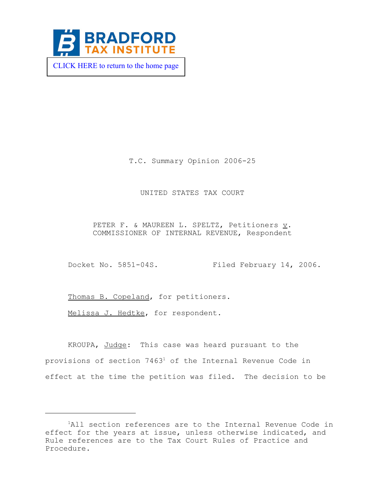

 [CLICK HERE to return to the home page](https://www.bradfordtaxinstitute.com) 

T.C. Summary Opinion 2006-25

## UNITED STATES TAX COURT

PETER F. & MAUREEN L. SPELTZ, Petitioners v. COMMISSIONER OF INTERNAL REVENUE, Respondent

Docket No. 5851-04S. Filed February 14, 2006.

Thomas B. Copeland, for petitioners.

Melissa J. Hedtke, for respondent.

KROUPA, Judge: This case was heard pursuant to the provisions of section 7463<sup>1</sup> of the Internal Revenue Code in effect at the time the petition was filed. The decision to be

<sup>&</sup>lt;sup>1</sup>All section references are to the Internal Revenue Code in effect for the years at issue, unless otherwise indicated, and Rule references are to the Tax Court Rules of Practice and Procedure.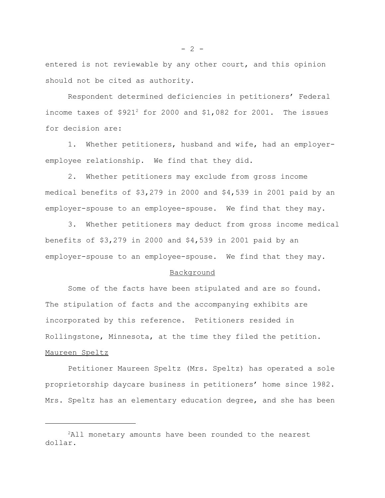entered is not reviewable by any other court, and this opinion should not be cited as authority.

Respondent determined deficiencies in petitioners' Federal income taxes of  $$921^2$  for 2000 and  $$1,082$  for 2001. The issues for decision are:

1. Whether petitioners, husband and wife, had an employeremployee relationship. We find that they did.

2. Whether petitioners may exclude from gross income medical benefits of \$3,279 in 2000 and \$4,539 in 2001 paid by an employer-spouse to an employee-spouse. We find that they may.

3. Whether petitioners may deduct from gross income medical benefits of \$3,279 in 2000 and \$4,539 in 2001 paid by an employer-spouse to an employee-spouse. We find that they may.

### Background

Some of the facts have been stipulated and are so found. The stipulation of facts and the accompanying exhibits are incorporated by this reference. Petitioners resided in Rollingstone, Minnesota, at the time they filed the petition. Maureen Speltz

Petitioner Maureen Speltz (Mrs. Speltz) has operated a sole proprietorship daycare business in petitioners' home since 1982. Mrs. Speltz has an elementary education degree, and she has been

 $- 2 -$ 

<sup>&</sup>lt;sup>2</sup>All monetary amounts have been rounded to the nearest dollar.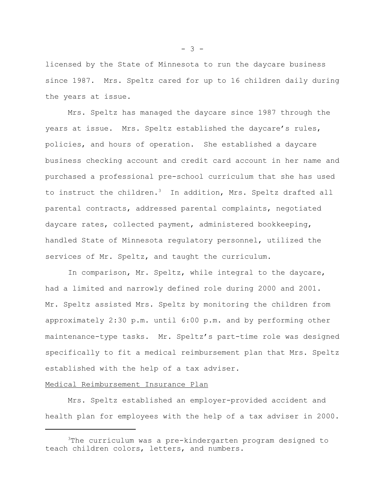licensed by the State of Minnesota to run the daycare business since 1987. Mrs. Speltz cared for up to 16 children daily during the years at issue.

Mrs. Speltz has managed the daycare since 1987 through the years at issue. Mrs. Speltz established the daycare's rules, policies, and hours of operation. She established a daycare business checking account and credit card account in her name and purchased a professional pre-school curriculum that she has used to instruct the children.<sup>3</sup> In addition, Mrs. Speltz drafted all parental contracts, addressed parental complaints, negotiated daycare rates, collected payment, administered bookkeeping, handled State of Minnesota regulatory personnel, utilized the services of Mr. Speltz, and taught the curriculum.

In comparison, Mr. Speltz, while integral to the daycare, had a limited and narrowly defined role during 2000 and 2001. Mr. Speltz assisted Mrs. Speltz by monitoring the children from approximately 2:30 p.m. until 6:00 p.m. and by performing other maintenance-type tasks. Mr. Speltz's part-time role was designed specifically to fit a medical reimbursement plan that Mrs. Speltz established with the help of a tax adviser.

### Medical Reimbursement Insurance Plan

Mrs. Speltz established an employer-provided accident and health plan for employees with the help of a tax adviser in 2000.

 $- 3 -$ 

<sup>3</sup>The curriculum was a pre-kindergarten program designed to teach children colors, letters, and numbers.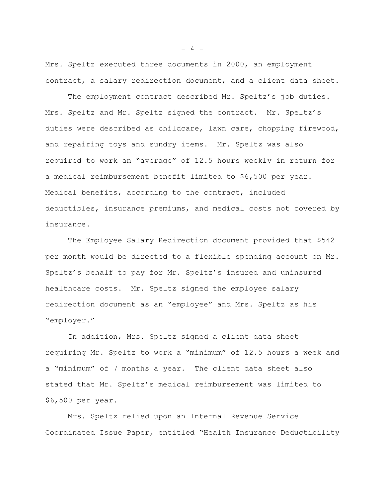Mrs. Speltz executed three documents in 2000, an employment contract, a salary redirection document, and a client data sheet.

The employment contract described Mr. Speltz's job duties. Mrs. Speltz and Mr. Speltz signed the contract. Mr. Speltz's duties were described as childcare, lawn care, chopping firewood, and repairing toys and sundry items. Mr. Speltz was also required to work an "average" of 12.5 hours weekly in return for a medical reimbursement benefit limited to \$6,500 per year. Medical benefits, according to the contract, included deductibles, insurance premiums, and medical costs not covered by insurance.

The Employee Salary Redirection document provided that \$542 per month would be directed to a flexible spending account on Mr. Speltz's behalf to pay for Mr. Speltz's insured and uninsured healthcare costs. Mr. Speltz signed the employee salary redirection document as an "employee" and Mrs. Speltz as his "employer."

In addition, Mrs. Speltz signed a client data sheet requiring Mr. Speltz to work a "minimum" of 12.5 hours a week and a "minimum" of 7 months a year. The client data sheet also stated that Mr. Speltz's medical reimbursement was limited to \$6,500 per year.

Mrs. Speltz relied upon an Internal Revenue Service Coordinated Issue Paper, entitled "Health Insurance Deductibility

 $- 4 -$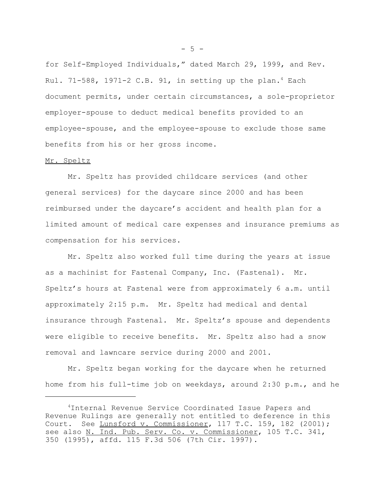for Self-Employed Individuals," dated March 29, 1999, and Rev. Rul. 71-588, 1971-2 C.B. 91, in setting up the plan.<sup>4</sup> Each document permits, under certain circumstances, a sole-proprietor employer-spouse to deduct medical benefits provided to an employee-spouse, and the employee-spouse to exclude those same benefits from his or her gross income.

#### Mr. Speltz

Mr. Speltz has provided childcare services (and other general services) for the daycare since 2000 and has been reimbursed under the daycare's accident and health plan for a limited amount of medical care expenses and insurance premiums as compensation for his services.

Mr. Speltz also worked full time during the years at issue as a machinist for Fastenal Company, Inc. (Fastenal). Mr. Speltz's hours at Fastenal were from approximately 6 a.m. until approximately 2:15 p.m. Mr. Speltz had medical and dental insurance through Fastenal. Mr. Speltz's spouse and dependents were eligible to receive benefits. Mr. Speltz also had a snow removal and lawncare service during 2000 and 2001.

Mr. Speltz began working for the daycare when he returned home from his full-time job on weekdays, around 2:30 p.m., and he

 $-5 -$ 

<sup>4</sup>Internal Revenue Service Coordinated Issue Papers and Revenue Rulings are generally not entitled to deference in this Court. See Lunsford v. Commissioner, 117 T.C. 159, 182 (2001); see also N. Ind. Pub. Serv. Co. v. Commissioner, 105 T.C. 341, 350 (1995), affd. 115 F.3d 506 (7th Cir. 1997).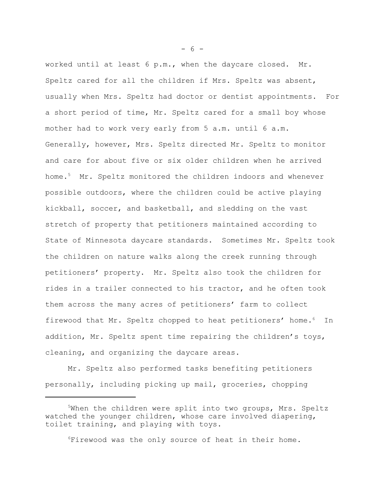worked until at least 6 p.m., when the daycare closed. Mr. Speltz cared for all the children if Mrs. Speltz was absent, usually when Mrs. Speltz had doctor or dentist appointments. For a short period of time, Mr. Speltz cared for a small boy whose mother had to work very early from 5 a.m. until 6 a.m. Generally, however, Mrs. Speltz directed Mr. Speltz to monitor and care for about five or six older children when he arrived home.5 Mr. Speltz monitored the children indoors and whenever possible outdoors, where the children could be active playing kickball, soccer, and basketball, and sledding on the vast stretch of property that petitioners maintained according to State of Minnesota daycare standards. Sometimes Mr. Speltz took the children on nature walks along the creek running through petitioners' property. Mr. Speltz also took the children for rides in a trailer connected to his tractor, and he often took them across the many acres of petitioners' farm to collect firewood that Mr. Speltz chopped to heat petitioners' home.<sup>6</sup> In addition, Mr. Speltz spent time repairing the children's toys, cleaning, and organizing the daycare areas.

Mr. Speltz also performed tasks benefiting petitioners personally, including picking up mail, groceries, chopping

6Firewood was the only source of heat in their home.

 $- 6 -$ 

<sup>&</sup>lt;sup>5</sup>When the children were split into two groups, Mrs. Speltz watched the younger children, whose care involved diapering, toilet training, and playing with toys.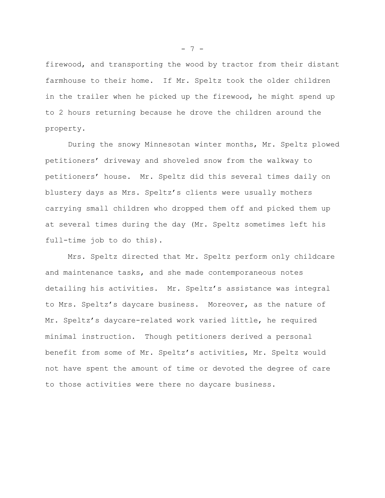firewood, and transporting the wood by tractor from their distant farmhouse to their home. If Mr. Speltz took the older children in the trailer when he picked up the firewood, he might spend up to 2 hours returning because he drove the children around the property.

During the snowy Minnesotan winter months, Mr. Speltz plowed petitioners' driveway and shoveled snow from the walkway to petitioners' house. Mr. Speltz did this several times daily on blustery days as Mrs. Speltz's clients were usually mothers carrying small children who dropped them off and picked them up at several times during the day (Mr. Speltz sometimes left his full-time job to do this).

Mrs. Speltz directed that Mr. Speltz perform only childcare and maintenance tasks, and she made contemporaneous notes detailing his activities. Mr. Speltz's assistance was integral to Mrs. Speltz's daycare business. Moreover, as the nature of Mr. Speltz's daycare-related work varied little, he required minimal instruction. Though petitioners derived a personal benefit from some of Mr. Speltz's activities, Mr. Speltz would not have spent the amount of time or devoted the degree of care to those activities were there no daycare business.

 $- 7 -$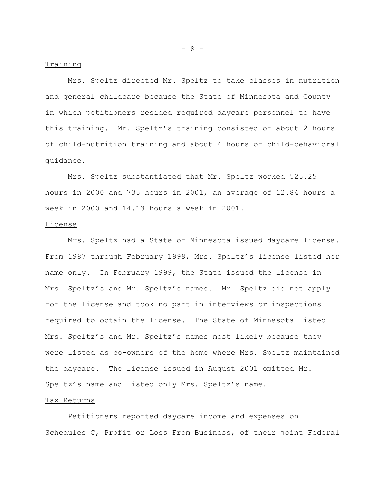#### Training

Mrs. Speltz directed Mr. Speltz to take classes in nutrition and general childcare because the State of Minnesota and County in which petitioners resided required daycare personnel to have this training. Mr. Speltz's training consisted of about 2 hours of child-nutrition training and about 4 hours of child-behavioral guidance.

Mrs. Speltz substantiated that Mr. Speltz worked 525.25 hours in 2000 and 735 hours in 2001, an average of 12.84 hours a week in 2000 and 14.13 hours a week in 2001.

# License

Mrs. Speltz had a State of Minnesota issued daycare license. From 1987 through February 1999, Mrs. Speltz's license listed her name only. In February 1999, the State issued the license in Mrs. Speltz's and Mr. Speltz's names. Mr. Speltz did not apply for the license and took no part in interviews or inspections required to obtain the license. The State of Minnesota listed Mrs. Speltz's and Mr. Speltz's names most likely because they were listed as co-owners of the home where Mrs. Speltz maintained the daycare. The license issued in August 2001 omitted Mr. Speltz's name and listed only Mrs. Speltz's name.

### Tax Returns

Petitioners reported daycare income and expenses on Schedules C, Profit or Loss From Business, of their joint Federal

- 8 -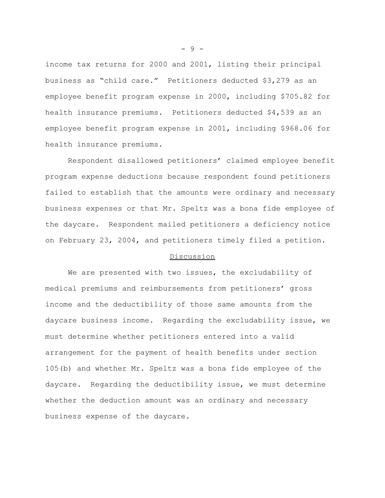income tax returns for 2000 and 2001, listing their principal business as "child care." Petitioners deducted \$3,279 as an employee benefit program expense in 2000, including \$705.82 for health insurance premiums. Petitioners deducted \$4,539 as an employee benefit program expense in 2001, including \$968.06 for health insurance premiums.

Respondent disallowed petitioners' claimed employee benefit program expense deductions because respondent found petitioners failed to establish that the amounts were ordinary and necessary business expenses or that Mr. Speltz was a bona fide employee of the daycare. Respondent mailed petitioners a deficiency notice on February 23, 2004, and petitioners timely filed a petition.

### Discussion

We are presented with two issues, the excludability of medical premiums and reimbursements from petitioners' gross income and the deductibility of those same amounts from the daycare business income. Regarding the excludability issue, we must determine whether petitioners entered into a valid arrangement for the payment of health benefits under section 105(b) and whether Mr. Speltz was a bona fide employee of the daycare. Regarding the deductibility issue, we must determine whether the deduction amount was an ordinary and necessary business expense of the daycare.

- 9 -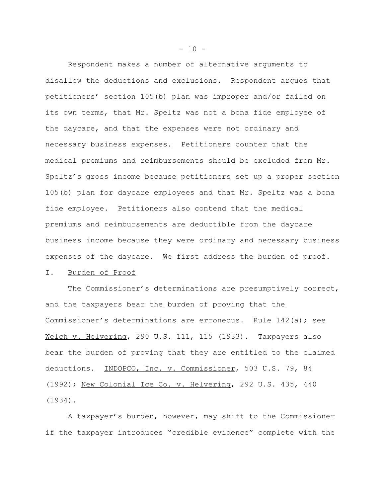Respondent makes a number of alternative arguments to disallow the deductions and exclusions. Respondent argues that petitioners' section 105(b) plan was improper and/or failed on its own terms, that Mr. Speltz was not a bona fide employee of the daycare, and that the expenses were not ordinary and necessary business expenses. Petitioners counter that the medical premiums and reimbursements should be excluded from Mr. Speltz's gross income because petitioners set up a proper section 105(b) plan for daycare employees and that Mr. Speltz was a bona fide employee. Petitioners also contend that the medical premiums and reimbursements are deductible from the daycare business income because they were ordinary and necessary business expenses of the daycare. We first address the burden of proof.

## I. Burden of Proof

The Commissioner's determinations are presumptively correct, and the taxpayers bear the burden of proving that the Commissioner's determinations are erroneous. Rule 142(a); see Welch v. Helvering, 290 U.S. 111, 115 (1933). Taxpayers also bear the burden of proving that they are entitled to the claimed deductions. INDOPCO, Inc. v. Commissioner, 503 U.S. 79, 84 (1992); New Colonial Ice Co. v. Helvering, 292 U.S. 435, 440 (1934).

A taxpayer's burden, however, may shift to the Commissioner if the taxpayer introduces "credible evidence" complete with the

 $- 10 -$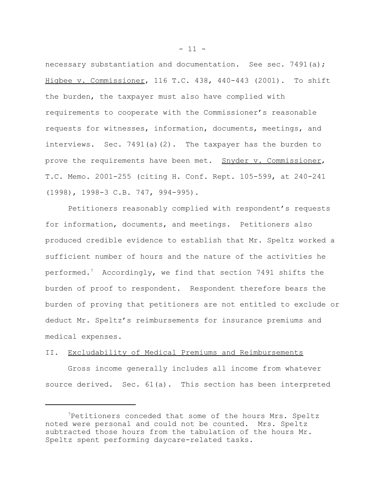necessary substantiation and documentation. See sec. 7491(a); Higbee v. Commissioner, 116 T.C. 438, 440-443 (2001). To shift the burden, the taxpayer must also have complied with requirements to cooperate with the Commissioner's reasonable requests for witnesses, information, documents, meetings, and interviews. Sec. 7491(a)(2). The taxpayer has the burden to prove the requirements have been met. Snyder v. Commissioner, T.C. Memo. 2001-255 (citing H. Conf. Rept. 105-599, at 240-241 (1998), 1998-3 C.B. 747, 994-995).

Petitioners reasonably complied with respondent's requests for information, documents, and meetings. Petitioners also produced credible evidence to establish that Mr. Speltz worked a sufficient number of hours and the nature of the activities he performed.7 Accordingly, we find that section 7491 shifts the burden of proof to respondent. Respondent therefore bears the burden of proving that petitioners are not entitled to exclude or deduct Mr. Speltz's reimbursements for insurance premiums and medical expenses.

### II. Excludability of Medical Premiums and Reimbursements

Gross income generally includes all income from whatever source derived. Sec. 61(a). This section has been interpreted

<sup>7</sup>Petitioners conceded that some of the hours Mrs. Speltz noted were personal and could not be counted. Mrs. Speltz subtracted those hours from the tabulation of the hours Mr. Speltz spent performing daycare-related tasks.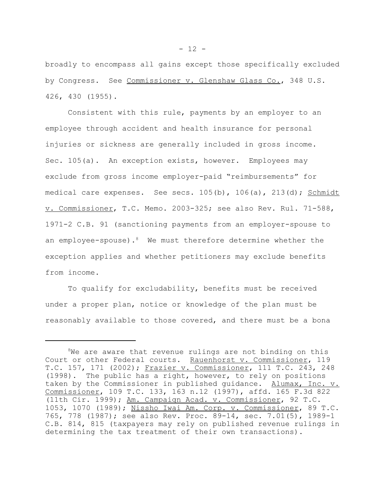broadly to encompass all gains except those specifically excluded by Congress. See Commissioner v. Glenshaw Glass Co., 348 U.S. 426, 430 (1955).

Consistent with this rule, payments by an employer to an employee through accident and health insurance for personal injuries or sickness are generally included in gross income. Sec. 105(a). An exception exists, however. Employees may exclude from gross income employer-paid "reimbursements" for medical care expenses. See secs.  $105(b)$ ,  $106(a)$ ,  $213(d)$ ; Schmidt v. Commissioner, T.C. Memo. 2003-325; see also Rev. Rul. 71-588, 1971-2 C.B. 91 (sanctioning payments from an employer-spouse to an employee-spouse).<sup>8</sup> We must therefore determine whether the exception applies and whether petitioners may exclude benefits from income.

To qualify for excludability, benefits must be received under a proper plan, notice or knowledge of the plan must be reasonably available to those covered, and there must be a bona

<sup>&</sup>lt;sup>8</sup>We are aware that revenue rulings are not binding on this Court or other Federal courts. Rauenhorst v. Commissioner, 119 T.C. 157, 171 (2002); Frazier v. Commissioner, 111 T.C. 243, 248 (1998). The public has a right, however, to rely on positions taken by the Commissioner in published guidance. Alumax, Inc. v. Commissioner, 109 T.C. 133, 163 n.12 (1997), affd. 165 F.3d 822 (11th Cir. 1999); Am. Campaign Acad. v. Commissioner, 92 T.C. 1053, 1070 (1989); Nissho Iwai Am. Corp. v. Commissioner, 89 T.C. 765, 778 (1987); see also Rev. Proc. 89-14, sec. 7.01(5), 1989-1 C.B. 814, 815 (taxpayers may rely on published revenue rulings in determining the tax treatment of their own transactions).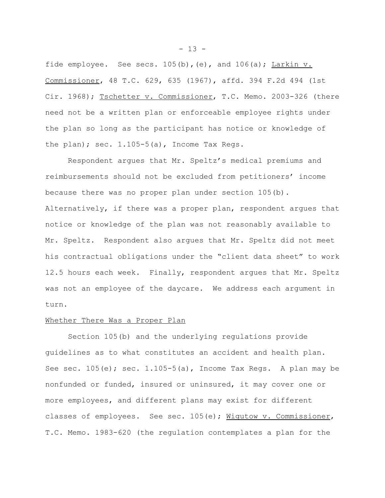fide employee. See secs.  $105(b)$ , (e), and  $106(a)$ ; Larkin v. Commissioner, 48 T.C. 629, 635 (1967), affd. 394 F.2d 494 (1st Cir. 1968); Tschetter v. Commissioner, T.C. Memo. 2003-326 (there need not be a written plan or enforceable employee rights under the plan so long as the participant has notice or knowledge of the plan); sec.  $1.105-5(a)$ , Income Tax Regs.

Respondent argues that Mr. Speltz's medical premiums and reimbursements should not be excluded from petitioners' income because there was no proper plan under section 105(b). Alternatively, if there was a proper plan, respondent argues that notice or knowledge of the plan was not reasonably available to Mr. Speltz. Respondent also argues that Mr. Speltz did not meet his contractual obligations under the "client data sheet" to work 12.5 hours each week. Finally, respondent argues that Mr. Speltz was not an employee of the daycare. We address each argument in turn.

### Whether There Was a Proper Plan

Section 105(b) and the underlying regulations provide guidelines as to what constitutes an accident and health plan. See sec.  $105(e)$ ; sec.  $1.105-5(a)$ , Income Tax Regs. A plan may be nonfunded or funded, insured or uninsured, it may cover one or more employees, and different plans may exist for different classes of employees. See sec. 105(e); Wigutow v. Commissioner, T.C. Memo. 1983-620 (the regulation contemplates a plan for the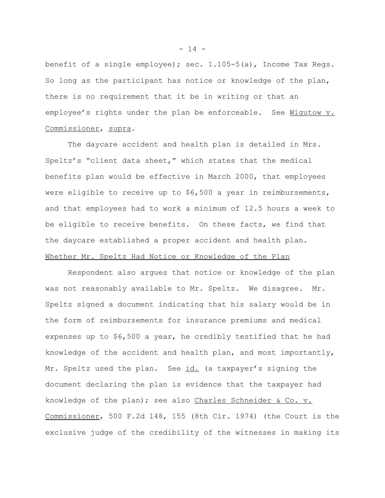benefit of a single employee); sec.  $1.105-5(a)$ , Income Tax Regs. So long as the participant has notice or knowledge of the plan, there is no requirement that it be in writing or that an employee's rights under the plan be enforceable. See Wigutow v. Commissioner, supra.

The daycare accident and health plan is detailed in Mrs. Speltz's "client data sheet," which states that the medical benefits plan would be effective in March 2000, that employees were eligible to receive up to \$6,500 a year in reimbursements, and that employees had to work a minimum of 12.5 hours a week to be eligible to receive benefits. On these facts, we find that the daycare established a proper accident and health plan. Whether Mr. Speltz Had Notice or Knowledge of the Plan

Respondent also argues that notice or knowledge of the plan was not reasonably available to Mr. Speltz. We disagree. Mr. Speltz signed a document indicating that his salary would be in the form of reimbursements for insurance premiums and medical expenses up to \$6,500 a year, he credibly testified that he had knowledge of the accident and health plan, and most importantly, Mr. Speltz used the plan. See id. (a taxpayer's signing the document declaring the plan is evidence that the taxpayer had knowledge of the plan); see also Charles Schneider & Co. v. Commissioner, 500 F.2d 148, 155 (8th Cir. 1974) (the Court is the exclusive judge of the credibility of the witnesses in making its

 $- 14 -$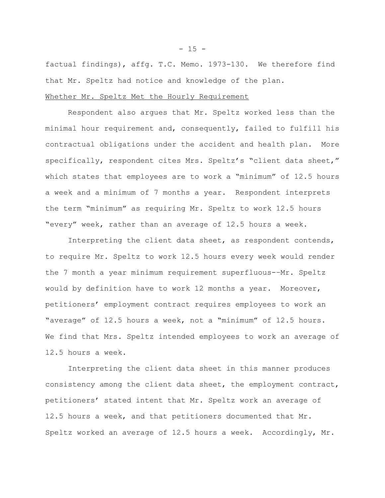factual findings), affg. T.C. Memo. 1973-130. We therefore find that Mr. Speltz had notice and knowledge of the plan.

### Whether Mr. Speltz Met the Hourly Requirement

Respondent also argues that Mr. Speltz worked less than the minimal hour requirement and, consequently, failed to fulfill his contractual obligations under the accident and health plan. More specifically, respondent cites Mrs. Speltz's "client data sheet," which states that employees are to work a "minimum" of 12.5 hours a week and a minimum of 7 months a year. Respondent interprets the term "minimum" as requiring Mr. Speltz to work 12.5 hours "every" week, rather than an average of 12.5 hours a week.

Interpreting the client data sheet, as respondent contends, to require Mr. Speltz to work 12.5 hours every week would render the 7 month a year minimum requirement superfluous-–Mr. Speltz would by definition have to work 12 months a year. Moreover, petitioners' employment contract requires employees to work an "average" of 12.5 hours a week, not a "minimum" of 12.5 hours. We find that Mrs. Speltz intended employees to work an average of 12.5 hours a week.

Interpreting the client data sheet in this manner produces consistency among the client data sheet, the employment contract, petitioners' stated intent that Mr. Speltz work an average of 12.5 hours a week, and that petitioners documented that Mr. Speltz worked an average of 12.5 hours a week. Accordingly, Mr.

 $- 15 -$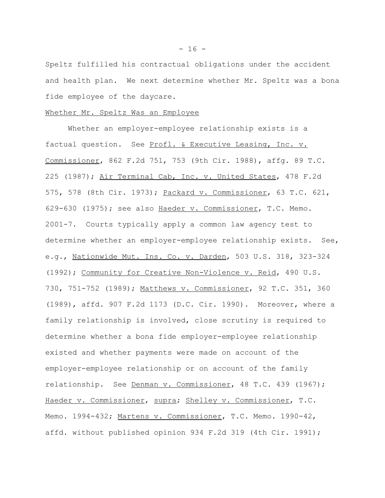Speltz fulfilled his contractual obligations under the accident and health plan. We next determine whether Mr. Speltz was a bona fide employee of the daycare.

### Whether Mr. Speltz Was an Employee

Whether an employer-employee relationship exists is a factual question. See Profl. & Executive Leasing, Inc. v. Commissioner, 862 F.2d 751, 753 (9th Cir. 1988), affg. 89 T.C. 225 (1987); Air Terminal Cab, Inc. v. United States, 478 F.2d 575, 578 (8th Cir. 1973); Packard v. Commissioner, 63 T.C. 621, 629-630 (1975); see also Haeder v. Commissioner, T.C. Memo. 2001-7. Courts typically apply a common law agency test to determine whether an employer-employee relationship exists. See, e.g., Nationwide Mut. Ins. Co. v. Darden, 503 U.S. 318, 323-324 (1992); Community for Creative Non-Violence v. Reid, 490 U.S. 730, 751-752 (1989); Matthews v. Commissioner, 92 T.C. 351, 360 (1989), affd. 907 F.2d 1173 (D.C. Cir. 1990). Moreover, where a family relationship is involved, close scrutiny is required to determine whether a bona fide employer-employee relationship existed and whether payments were made on account of the employer-employee relationship or on account of the family relationship. See Denman v. Commissioner, 48 T.C. 439 (1967); Haeder v. Commissioner, supra; Shelley v. Commissioner, T.C. Memo. 1994-432; Martens v. Commissioner, T.C. Memo. 1990-42, affd. without published opinion 934 F.2d 319 (4th Cir. 1991);

 $- 16 -$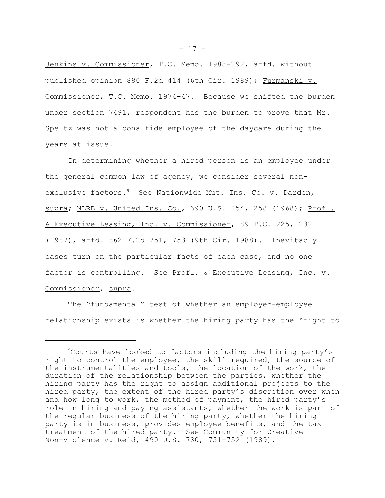Jenkins v. Commissioner, T.C. Memo. 1988-292, affd. without published opinion 880 F.2d 414 (6th Cir. 1989); Furmanski v. Commissioner, T.C. Memo. 1974-47. Because we shifted the burden under section 7491, respondent has the burden to prove that Mr. Speltz was not a bona fide employee of the daycare during the years at issue.

In determining whether a hired person is an employee under the general common law of agency, we consider several nonexclusive factors.<sup>9</sup> See Nationwide Mut. Ins. Co. v. Darden, supra; NLRB v. United Ins. Co., 390 U.S. 254, 258 (1968); Profl. & Executive Leasing, Inc. v. Commissioner, 89 T.C. 225, 232 (1987), affd. 862 F.2d 751, 753 (9th Cir. 1988). Inevitably cases turn on the particular facts of each case, and no one factor is controlling. See Profl. & Executive Leasing, Inc. v. Commissioner, supra.

The "fundamental" test of whether an employer-employee relationship exists is whether the hiring party has the "right to

<sup>9</sup>Courts have looked to factors including the hiring party's right to control the employee, the skill required, the source of the instrumentalities and tools, the location of the work, the duration of the relationship between the parties, whether the hiring party has the right to assign additional projects to the hired party, the extent of the hired party's discretion over when and how long to work, the method of payment, the hired party's role in hiring and paying assistants, whether the work is part of the regular business of the hiring party, whether the hiring party is in business, provides employee benefits, and the tax treatment of the hired party. See Community for Creative Non-Violence v. Reid, 490 U.S. 730, 751-752 (1989).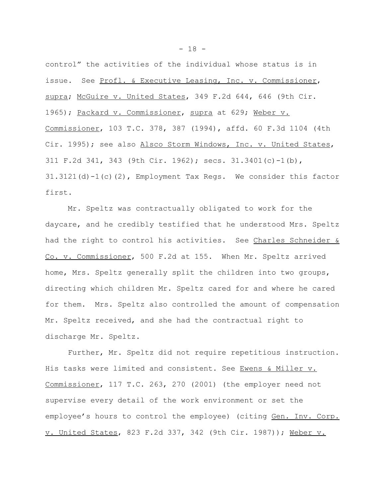control" the activities of the individual whose status is in issue. See Profl. & Executive Leasing, Inc. v. Commissioner, supra; McGuire v. United States, 349 F.2d 644, 646 (9th Cir. 1965); Packard v. Commissioner, supra at 629; Weber v. Commissioner, 103 T.C. 378, 387 (1994), affd. 60 F.3d 1104 (4th Cir. 1995); see also Alsco Storm Windows, Inc. v. United States, 311 F.2d 341, 343 (9th Cir. 1962); secs. 31.3401(c)-1(b), 31.3121(d)-1(c)(2), Employment Tax Regs. We consider this factor first.

Mr. Speltz was contractually obligated to work for the daycare, and he credibly testified that he understood Mrs. Speltz had the right to control his activities. See Charles Schneider & Co. v. Commissioner, 500 F.2d at 155. When Mr. Speltz arrived home, Mrs. Speltz generally split the children into two groups, directing which children Mr. Speltz cared for and where he cared for them. Mrs. Speltz also controlled the amount of compensation Mr. Speltz received, and she had the contractual right to discharge Mr. Speltz.

Further, Mr. Speltz did not require repetitious instruction. His tasks were limited and consistent. See Ewens & Miller v. Commissioner, 117 T.C. 263, 270 (2001) (the employer need not supervise every detail of the work environment or set the employee's hours to control the employee) (citing Gen. Inv. Corp. v. United States, 823 F.2d 337, 342 (9th Cir. 1987)); Weber v.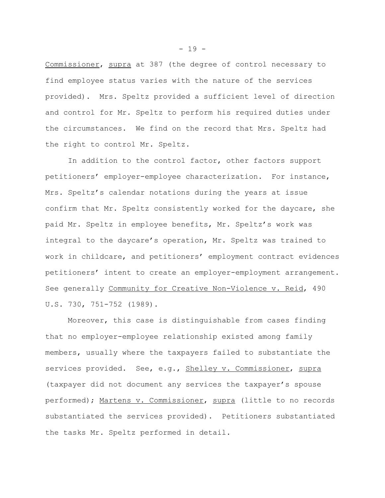Commissioner, supra at 387 (the degree of control necessary to find employee status varies with the nature of the services provided). Mrs. Speltz provided a sufficient level of direction and control for Mr. Speltz to perform his required duties under the circumstances. We find on the record that Mrs. Speltz had the right to control Mr. Speltz.

In addition to the control factor, other factors support petitioners' employer-employee characterization. For instance, Mrs. Speltz's calendar notations during the years at issue confirm that Mr. Speltz consistently worked for the daycare, she paid Mr. Speltz in employee benefits, Mr. Speltz's work was integral to the daycare's operation, Mr. Speltz was trained to work in childcare, and petitioners' employment contract evidences petitioners' intent to create an employer-employment arrangement. See generally Community for Creative Non-Violence v. Reid, 490 U.S. 730, 751-752 (1989).

Moreover, this case is distinguishable from cases finding that no employer-employee relationship existed among family members, usually where the taxpayers failed to substantiate the services provided. See, e.g., Shelley v. Commissioner, supra (taxpayer did not document any services the taxpayer's spouse performed); Martens v. Commissioner, supra (little to no records substantiated the services provided). Petitioners substantiated the tasks Mr. Speltz performed in detail.

 $- 19 -$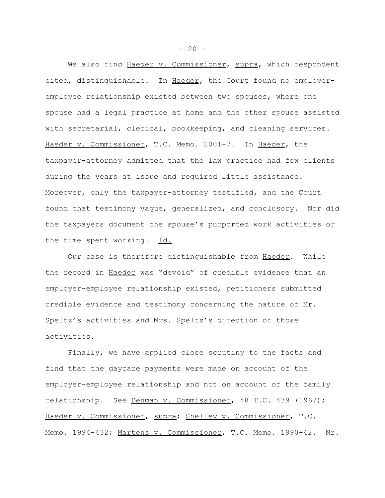We also find Haeder v. Commissioner, supra, which respondent cited, distinguishable. In Haeder, the Court found no employeremployee relationship existed between two spouses, where one spouse had a legal practice at home and the other spouse assisted with secretarial, clerical, bookkeeping, and cleaning services. Haeder v. Commissioner, T.C. Memo. 2001-7. In Haeder, the taxpayer-attorney admitted that the law practice had few clients during the years at issue and required little assistance. Moreover, only the taxpayer-attorney testified, and the Court found that testimony vague, generalized, and conclusory. Nor did the taxpayers document the spouse's purported work activities or the time spent working. Id.

Our case is therefore distinguishable from Haeder. While the record in Haeder was "devoid" of credible evidence that an employer-employee relationship existed, petitioners submitted credible evidence and testimony concerning the nature of Mr. Speltz's activities and Mrs. Speltz's direction of those activities.

Finally, we have applied close scrutiny to the facts and find that the daycare payments were made on account of the employer-employee relationship and not on account of the family relationship. See Denman v. Commissioner, 48 T.C. 439 (1967); Haeder v. Commissioner, supra; Shelley v. Commissioner, T.C. Memo. 1994-432; Martens v. Commissioner, T.C. Memo. 1990-42. Mr.

 $-20 -$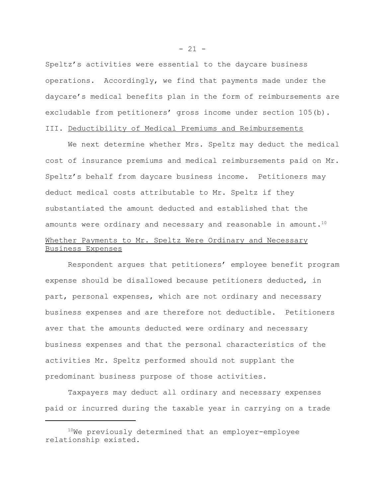Speltz's activities were essential to the daycare business operations. Accordingly, we find that payments made under the daycare's medical benefits plan in the form of reimbursements are excludable from petitioners' gross income under section 105(b).

# III. Deductibility of Medical Premiums and Reimbursements

We next determine whether Mrs. Speltz may deduct the medical cost of insurance premiums and medical reimbursements paid on Mr. Speltz's behalf from daycare business income. Petitioners may deduct medical costs attributable to Mr. Speltz if they substantiated the amount deducted and established that the amounts were ordinary and necessary and reasonable in amount. $10$ Whether Payments to Mr. Speltz Were Ordinary and Necessary Business Expenses

Respondent argues that petitioners' employee benefit program expense should be disallowed because petitioners deducted, in part, personal expenses, which are not ordinary and necessary business expenses and are therefore not deductible. Petitioners aver that the amounts deducted were ordinary and necessary business expenses and that the personal characteristics of the activities Mr. Speltz performed should not supplant the predominant business purpose of those activities.

Taxpayers may deduct all ordinary and necessary expenses paid or incurred during the taxable year in carrying on a trade

 $- 21 -$ 

 $10$ We previously determined that an employer-employee relationship existed.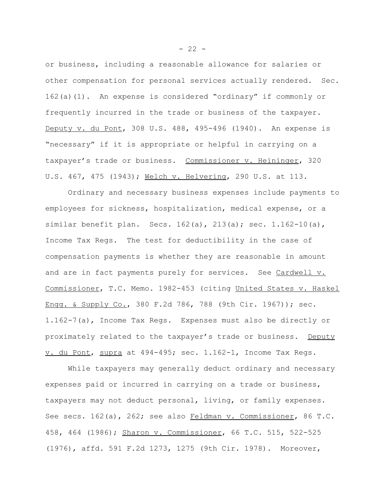or business, including a reasonable allowance for salaries or other compensation for personal services actually rendered. Sec. 162(a)(1). An expense is considered "ordinary" if commonly or frequently incurred in the trade or business of the taxpayer. Deputy v. du Pont, 308 U.S. 488, 495-496 (1940). An expense is "necessary" if it is appropriate or helpful in carrying on a taxpayer's trade or business. Commissioner v. Heininger, 320 U.S. 467, 475 (1943); Welch v. Helvering, 290 U.S. at 113.

Ordinary and necessary business expenses include payments to employees for sickness, hospitalization, medical expense, or a similar benefit plan. Secs. 162(a), 213(a); sec. 1.162-10(a), Income Tax Regs. The test for deductibility in the case of compensation payments is whether they are reasonable in amount and are in fact payments purely for services. See Cardwell v. Commissioner, T.C. Memo. 1982-453 (citing United States v. Haskel Engg. & Supply Co., 380 F.2d 786, 788 (9th Cir. 1967)); sec. 1.162-7(a), Income Tax Regs. Expenses must also be directly or proximately related to the taxpayer's trade or business. Deputy v. du Pont, supra at 494-495; sec. 1.162-1, Income Tax Regs.

While taxpayers may generally deduct ordinary and necessary expenses paid or incurred in carrying on a trade or business, taxpayers may not deduct personal, living, or family expenses. See secs. 162(a), 262; see also Feldman v. Commissioner, 86 T.C. 458, 464 (1986); Sharon v. Commissioner, 66 T.C. 515, 522-525 (1976), affd. 591 F.2d 1273, 1275 (9th Cir. 1978). Moreover,

 $- 22 -$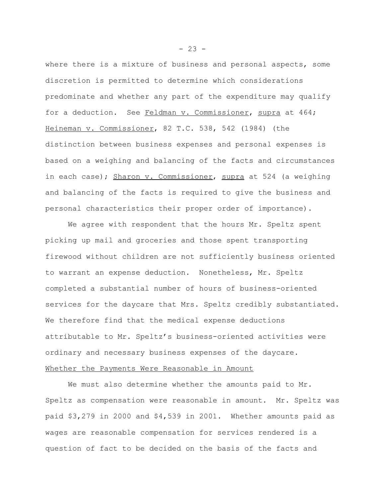where there is a mixture of business and personal aspects, some discretion is permitted to determine which considerations predominate and whether any part of the expenditure may qualify for a deduction. See Feldman v. Commissioner, supra at 464; Heineman v. Commissioner, 82 T.C. 538, 542 (1984) (the distinction between business expenses and personal expenses is based on a weighing and balancing of the facts and circumstances in each case); Sharon v. Commissioner, supra at 524 (a weighing and balancing of the facts is required to give the business and personal characteristics their proper order of importance).

We agree with respondent that the hours Mr. Speltz spent picking up mail and groceries and those spent transporting firewood without children are not sufficiently business oriented to warrant an expense deduction. Nonetheless, Mr. Speltz completed a substantial number of hours of business-oriented services for the daycare that Mrs. Speltz credibly substantiated. We therefore find that the medical expense deductions attributable to Mr. Speltz's business-oriented activities were ordinary and necessary business expenses of the daycare. Whether the Payments Were Reasonable in Amount

We must also determine whether the amounts paid to Mr. Speltz as compensation were reasonable in amount. Mr. Speltz was paid \$3,279 in 2000 and \$4,539 in 2001. Whether amounts paid as wages are reasonable compensation for services rendered is a question of fact to be decided on the basis of the facts and

 $- 23 -$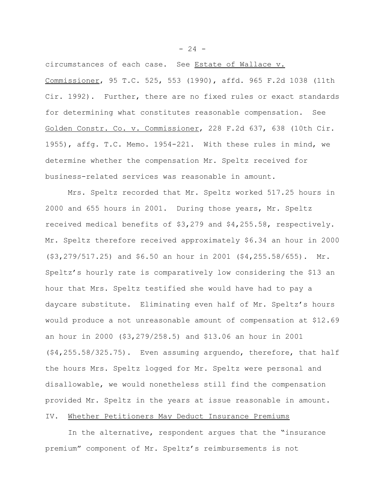circumstances of each case. See Estate of Wallace v. Commissioner, 95 T.C. 525, 553 (1990), affd. 965 F.2d 1038 (11th Cir. 1992). Further, there are no fixed rules or exact standards for determining what constitutes reasonable compensation. See Golden Constr. Co. v. Commissioner, 228 F.2d 637, 638 (10th Cir. 1955), affg. T.C. Memo. 1954-221. With these rules in mind, we determine whether the compensation Mr. Speltz received for business-related services was reasonable in amount.

Mrs. Speltz recorded that Mr. Speltz worked 517.25 hours in 2000 and 655 hours in 2001. During those years, Mr. Speltz received medical benefits of \$3,279 and \$4,255.58, respectively. Mr. Speltz therefore received approximately \$6.34 an hour in 2000 (\$3,279/517.25) and \$6.50 an hour in 2001 (\$4,255.58/655). Mr. Speltz's hourly rate is comparatively low considering the \$13 an hour that Mrs. Speltz testified she would have had to pay a daycare substitute. Eliminating even half of Mr. Speltz's hours would produce a not unreasonable amount of compensation at \$12.69 an hour in 2000 (\$3,279/258.5) and \$13.06 an hour in 2001 (\$4,255.58/325.75). Even assuming arguendo, therefore, that half the hours Mrs. Speltz logged for Mr. Speltz were personal and disallowable, we would nonetheless still find the compensation provided Mr. Speltz in the years at issue reasonable in amount. IV. Whether Petitioners May Deduct Insurance Premiums

In the alternative, respondent argues that the "insurance premium" component of Mr. Speltz's reimbursements is not

 $- 24 -$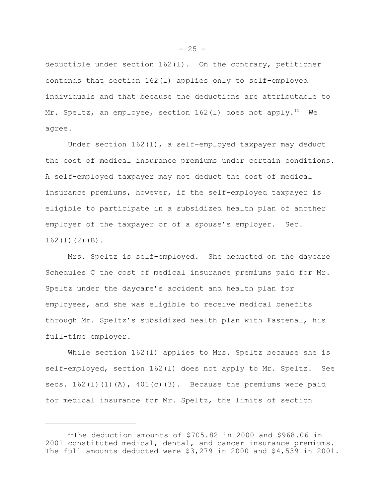deductible under section  $162(1)$ . On the contrary, petitioner contends that section 162(l) applies only to self-employed individuals and that because the deductions are attributable to Mr. Speltz, an employee, section  $162(1)$  does not apply.<sup>11</sup> We agree.

Under section 162(l), a self-employed taxpayer may deduct the cost of medical insurance premiums under certain conditions. A self-employed taxpayer may not deduct the cost of medical insurance premiums, however, if the self-employed taxpayer is eligible to participate in a subsidized health plan of another employer of the taxpayer or of a spouse's employer. Sec.  $162(1)(2)(B)$ .

Mrs. Speltz is self-employed. She deducted on the daycare Schedules C the cost of medical insurance premiums paid for Mr. Speltz under the daycare's accident and health plan for employees, and she was eligible to receive medical benefits through Mr. Speltz's subsidized health plan with Fastenal, his full-time employer.

While section 162(l) applies to Mrs. Speltz because she is self-employed, section 162(l) does not apply to Mr. Speltz. See secs.  $162(1)(1)(A)$ ,  $401(c)(3)$ . Because the premiums were paid for medical insurance for Mr. Speltz, the limits of section

 $- 25 -$ 

<sup>&</sup>lt;sup>11</sup>The deduction amounts of \$705.82 in 2000 and \$968.06 in 2001 constituted medical, dental, and cancer insurance premiums. The full amounts deducted were \$3,279 in 2000 and \$4,539 in 2001.